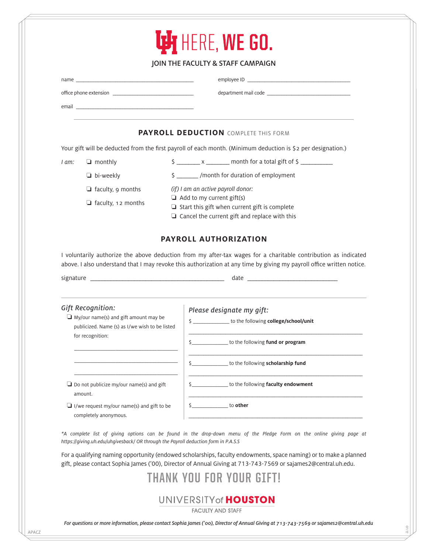| <b>Ly</b> HERE, WE GO. |  |
|------------------------|--|
|------------------------|--|

## JOIN THE FACULTY & STAFF CAMPAIGN

name $\_$ 

employee ID

office phone extension \_\_\_\_\_\_\_\_\_\_\_\_\_\_\_\_\_\_\_\_\_\_\_\_\_\_\_\_\_\_\_\_\_

department mail code \_\_\_\_\_\_\_\_\_\_\_\_\_\_\_\_\_\_\_\_\_\_\_\_\_\_\_\_\_\_\_\_\_\_

\$ \_\_\_\_\_\_\_\_ x \_\_\_\_\_\_\_\_ month for a total gift of \$ \_\_\_\_\_\_\_\_\_\_\_

email \_\_\_\_\_\_\_\_\_\_\_\_\_\_\_\_\_\_\_\_\_\_\_\_\_\_\_\_\_\_\_\_\_\_\_\_\_\_\_\_\_\_\_\_\_\_\_\_

## **PAYROLL DEDUCTION** COMPLETE THIS FORM

Your gift will be deducted from the first payroll of each month. (Minimum deduction is \$2 per designation.)

I am: ❏ monthly

❏ bi-weekly

- ❏ faculty, 9 months
- (if) I am an active payroll donor: ❏ Add to my current gift(s)

❏ faculty, 12 months

- ❏ Start this gift when current gift is complete
- ❏ Cancel the current gift and replace with this

\$ \_\_\_\_\_\_\_ /month for duration of employment

## **PAYROLL AUTHORIZATION**

I voluntarily authorize the above deduction from my after-tax wages for a charitable contribution as indicated above. I also understand that I may revoke this authorization at any time by giving my payroll office written notice.

signature \_\_\_\_\_\_\_\_\_\_\_\_\_\_\_\_\_\_\_\_\_\_\_\_\_\_\_\_\_\_\_\_\_\_\_\_\_\_\_\_\_\_\_\_\_\_ date \_\_\_\_\_\_\_\_\_\_\_\_\_\_\_\_\_\_\_\_\_\_\_\_\_\_\_\_\_\_\_

| Gift Recognition:<br>$\Box$ My/our name(s) and gift amount may be<br>publicized. Name (s) as I/we wish to be listed | Please designate my gift:<br>to the following college/school/unit<br>\$ |
|---------------------------------------------------------------------------------------------------------------------|-------------------------------------------------------------------------|
| for recognition:                                                                                                    | to the following fund or program                                        |
|                                                                                                                     | to the following <b>scholarship fund</b>                                |
| $\Box$ Do not publicize my/our name(s) and gift<br>amount.                                                          | to the following faculty endowment                                      |
| $\Box$ I/we request my/our name(s) and gift to be<br>completely anonymous.                                          | to other                                                                |

\*A complete list of giving options can be found in the drop-down menu of the Pledge Form on the online giving page at https://giving.uh.edu/uhgivesback/ OR through the Payroll deduction form in P.A.S.S

For a qualifying naming opportunity (endowed scholarships, faculty endowments, space naming) or to make a planned gift, please contact Sophia James ('00), Director of Annual Giving at 713-743-7569 or sajames2@central.uh.edu.

| THANK YOU FOR YOUR GIFT! |  |  |  |  |
|--------------------------|--|--|--|--|
|--------------------------|--|--|--|--|

## UNIVERSITY of **HOUSTON**

**FACULTY AND STAFF** 

For questions or more information, please contact Sophia James ('00), Director of Annual Giving at 713-743-7569 or sajames2@central.uh.edu

01.17